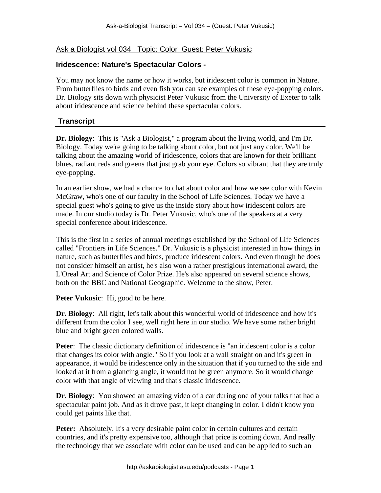## Ask a Biologist vol 034 Topic: Color Guest: Peter Vukusic

## **Iridescence: Nature's Spectacular Colors -**

You may not know the name or how it works, but iridescent color is common in Nature. From butterflies to birds and even fish you can see examples of these eye-popping colors. Dr. Biology sits down with physicist Peter Vukusic from the University of Exeter to talk about iridescence and science behind these spectacular colors.

## **Transcript**

**Dr. Biology**: This is "Ask a Biologist," a program about the living world, and I'm Dr. Biology. Today we're going to be talking about color, but not just any color. We'll be talking about the amazing world of iridescence, colors that are known for their brilliant blues, radiant reds and greens that just grab your eye. Colors so vibrant that they are truly eye-popping.

In an earlier show, we had a chance to chat about color and how we see color with Kevin McGraw, who's one of our faculty in the School of Life Sciences. Today we have a special guest who's going to give us the inside story about how iridescent colors are made. In our studio today is Dr. Peter Vukusic, who's one of the speakers at a very special conference about iridescence.

This is the first in a series of annual meetings established by the School of Life Sciences called "Frontiers in Life Sciences." Dr. Vukusic is a physicist interested in how things in nature, such as butterflies and birds, produce iridescent colors. And even though he does not consider himself an artist, he's also won a rather prestigious international award, the L'Oreal Art and Science of Color Prize. He's also appeared on several science shows, both on the BBC and National Geographic. Welcome to the show, Peter.

**Peter Vukusic**: Hi, good to be here.

**Dr. Biology**: All right, let's talk about this wonderful world of iridescence and how it's different from the color I see, well right here in our studio. We have some rather bright blue and bright green colored walls.

Peter: The classic dictionary definition of iridescence is "an iridescent color is a color that changes its color with angle." So if you look at a wall straight on and it's green in appearance, it would be iridescence only in the situation that if you turned to the side and looked at it from a glancing angle, it would not be green anymore. So it would change color with that angle of viewing and that's classic iridescence.

**Dr. Biology**: You showed an amazing video of a car during one of your talks that had a spectacular paint job. And as it drove past, it kept changing in color. I didn't know you could get paints like that.

**Peter:** Absolutely. It's a very desirable paint color in certain cultures and certain countries, and it's pretty expensive too, although that price is coming down. And really the technology that we associate with color can be used and can be applied to such an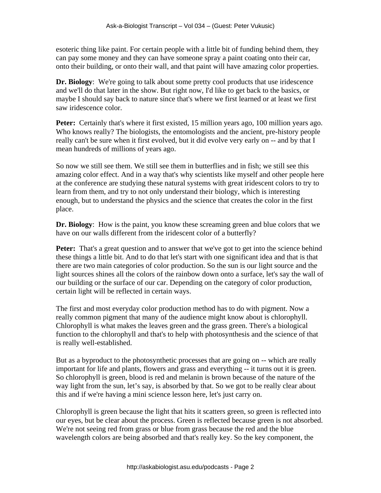esoteric thing like paint. For certain people with a little bit of funding behind them, they can pay some money and they can have someone spray a paint coating onto their car, onto their building, or onto their wall, and that paint will have amazing color properties.

**Dr. Biology**: We're going to talk about some pretty cool products that use iridescence and we'll do that later in the show. But right now, I'd like to get back to the basics, or maybe I should say back to nature since that's where we first learned or at least we first saw iridescence color.

**Peter:** Certainly that's where it first existed, 15 million years ago, 100 million years ago. Who knows really? The biologists, the entomologists and the ancient, pre-history people really can't be sure when it first evolved, but it did evolve very early on -- and by that I mean hundreds of millions of years ago.

So now we still see them. We still see them in butterflies and in fish; we still see this amazing color effect. And in a way that's why scientists like myself and other people here at the conference are studying these natural systems with great iridescent colors to try to learn from them, and try to not only understand their biology, which is interesting enough, but to understand the physics and the science that creates the color in the first place.

**Dr. Biology**: How is the paint, you know these screaming green and blue colors that we have on our walls different from the iridescent color of a butterfly?

**Peter:** That's a great question and to answer that we've got to get into the science behind these things a little bit. And to do that let's start with one significant idea and that is that there are two main categories of color production. So the sun is our light source and the light sources shines all the colors of the rainbow down onto a surface, let's say the wall of our building or the surface of our car. Depending on the category of color production, certain light will be reflected in certain ways.

The first and most everyday color production method has to do with pigment. Now a really common pigment that many of the audience might know about is chlorophyll. Chlorophyll is what makes the leaves green and the grass green. There's a biological function to the chlorophyll and that's to help with photosynthesis and the science of that is really well-established.

But as a byproduct to the photosynthetic processes that are going on -- which are really important for life and plants, flowers and grass and everything -- it turns out it is green. So chlorophyll is green, blood is red and melanin is brown because of the nature of the way light from the sun, let's say, is absorbed by that. So we got to be really clear about this and if we're having a mini science lesson here, let's just carry on.

Chlorophyll is green because the light that hits it scatters green, so green is reflected into our eyes, but be clear about the process. Green is reflected because green is not absorbed. We're not seeing red from grass or blue from grass because the red and the blue wavelength colors are being absorbed and that's really key. So the key component, the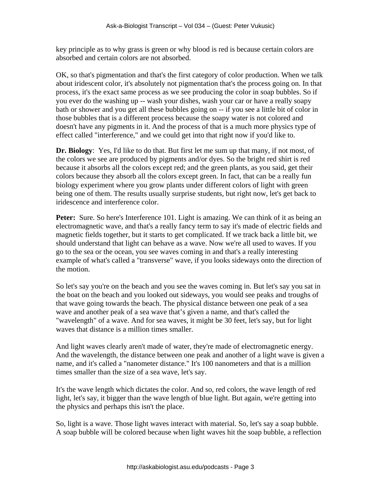key principle as to why grass is green or why blood is red is because certain colors are absorbed and certain colors are not absorbed.

OK, so that's pigmentation and that's the first category of color production. When we talk about iridescent color, it's absolutely not pigmentation that's the process going on. In that process, it's the exact same process as we see producing the color in soap bubbles. So if you ever do the washing up -- wash your dishes, wash your car or have a really soapy bath or shower and you get all these bubbles going on -- if you see a little bit of color in those bubbles that is a different process because the soapy water is not colored and doesn't have any pigments in it. And the process of that is a much more physics type of effect called "interference," and we could get into that right now if you'd like to.

**Dr. Biology**: Yes, I'd like to do that. But first let me sum up that many, if not most, of the colors we see are produced by pigments and/or dyes. So the bright red shirt is red because it absorbs all the colors except red; and the green plants, as you said, get their colors because they absorb all the colors except green. In fact, that can be a really fun biology experiment where you grow plants under different colors of light with green being one of them. The results usually surprise students, but right now, let's get back to iridescence and interference color.

**Peter:** Sure. So here's Interference 101. Light is amazing. We can think of it as being an electromagnetic wave, and that's a really fancy term to say it's made of electric fields and magnetic fields together, but it starts to get complicated. If we track back a little bit, we should understand that light can behave as a wave. Now we're all used to waves. If you go to the sea or the ocean, you see waves coming in and that's a really interesting example of what's called a "transverse" wave, if you looks sideways onto the direction of the motion.

So let's say you're on the beach and you see the waves coming in. But let's say you sat in the boat on the beach and you looked out sideways, you would see peaks and troughs of that wave going towards the beach. The physical distance between one peak of a sea wave and another peak of a sea wave that's given a name, and that's called the "wavelength" of a wave. And for sea waves, it might be 30 feet, let's say, but for light waves that distance is a million times smaller.

And light waves clearly aren't made of water, they're made of electromagnetic energy. And the wavelength, the distance between one peak and another of a light wave is given a name, and it's called a "nanometer distance." It's 100 nanometers and that is a million times smaller than the size of a sea wave, let's say.

It's the wave length which dictates the color. And so, red colors, the wave length of red light, let's say, it bigger than the wave length of blue light. But again, we're getting into the physics and perhaps this isn't the place.

So, light is a wave. Those light waves interact with material. So, let's say a soap bubble. A soap bubble will be colored because when light waves hit the soap bubble, a reflection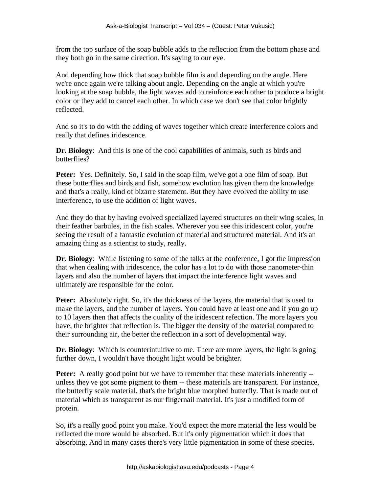from the top surface of the soap bubble adds to the reflection from the bottom phase and they both go in the same direction. It's saying to our eye.

And depending how thick that soap bubble film is and depending on the angle. Here we're once again we're talking about angle. Depending on the angle at which you're looking at the soap bubble, the light waves add to reinforce each other to produce a bright color or they add to cancel each other. In which case we don't see that color brightly reflected.

And so it's to do with the adding of waves together which create interference colors and really that defines iridescence.

**Dr. Biology**: And this is one of the cool capabilities of animals, such as birds and butterflies?

**Peter:** Yes. Definitely. So, I said in the soap film, we've got a one film of soap. But these butterflies and birds and fish, somehow evolution has given them the knowledge and that's a really, kind of bizarre statement. But they have evolved the ability to use interference, to use the addition of light waves.

And they do that by having evolved specialized layered structures on their wing scales, in their feather barbules, in the fish scales. Wherever you see this iridescent color, you're seeing the result of a fantastic evolution of material and structured material. And it's an amazing thing as a scientist to study, really.

**Dr. Biology**: While listening to some of the talks at the conference, I got the impression that when dealing with iridescence, the color has a lot to do with those nanometer-thin layers and also the number of layers that impact the interference light waves and ultimately are responsible for the color.

**Peter:** Absolutely right. So, it's the thickness of the layers, the material that is used to make the layers, and the number of layers. You could have at least one and if you go up to 10 layers then that affects the quality of the iridescent refection. The more layers you have, the brighter that reflection is. The bigger the density of the material compared to their surrounding air, the better the reflection in a sort of developmental way.

**Dr. Biology**: Which is counterintuitive to me. There are more layers, the light is going further down, I wouldn't have thought light would be brighter.

**Peter:** A really good point but we have to remember that these materials inherently -unless they've got some pigment to them -- these materials are transparent. For instance, the butterfly scale material, that's the bright blue morphed butterfly. That is made out of material which as transparent as our fingernail material. It's just a modified form of protein.

So, it's a really good point you make. You'd expect the more material the less would be reflected the more would be absorbed. But it's only pigmentation which it does that absorbing. And in many cases there's very little pigmentation in some of these species.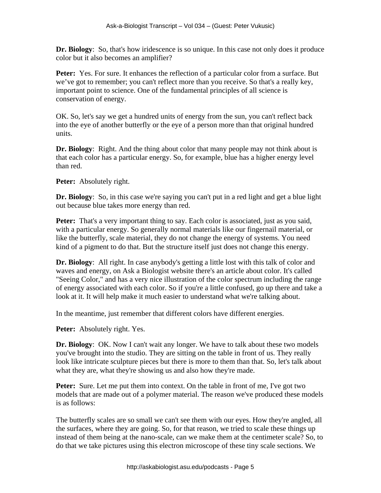**Dr. Biology**: So, that's how iridescence is so unique. In this case not only does it produce color but it also becomes an amplifier?

**Peter:** Yes. For sure. It enhances the reflection of a particular color from a surface. But we've got to remember; you can't reflect more than you receive. So that's a really key, important point to science. One of the fundamental principles of all science is conservation of energy.

OK. So, let's say we get a hundred units of energy from the sun, you can't reflect back into the eye of another butterfly or the eye of a person more than that original hundred units.

**Dr. Biology**: Right. And the thing about color that many people may not think about is that each color has a particular energy. So, for example, blue has a higher energy level than red.

**Peter:** Absolutely right.

**Dr. Biology**: So, in this case we're saying you can't put in a red light and get a blue light out because blue takes more energy than red.

**Peter:** That's a very important thing to say. Each color is associated, just as you said, with a particular energy. So generally normal materials like our fingernail material, or like the butterfly, scale material, they do not change the energy of systems. You need kind of a pigment to do that. But the structure itself just does not change this energy.

**Dr. Biology**: All right. In case anybody's getting a little lost with this talk of color and waves and energy, on Ask a Biologist website there's an article about color. It's called "Seeing Color," and has a very nice illustration of the color spectrum including the range of energy associated with each color. So if you're a little confused, go up there and take a look at it. It will help make it much easier to understand what we're talking about.

In the meantime, just remember that different colors have different energies.

**Peter:** Absolutely right. Yes.

**Dr. Biology**: OK. Now I can't wait any longer. We have to talk about these two models you've brought into the studio. They are sitting on the table in front of us. They really look like intricate sculpture pieces but there is more to them than that. So, let's talk about what they are, what they're showing us and also how they're made.

**Peter:** Sure. Let me put them into context. On the table in front of me, I've got two models that are made out of a polymer material. The reason we've produced these models is as follows:

The butterfly scales are so small we can't see them with our eyes. How they're angled, all the surfaces, where they are going. So, for that reason, we tried to scale these things up instead of them being at the nano-scale, can we make them at the centimeter scale? So, to do that we take pictures using this electron microscope of these tiny scale sections. We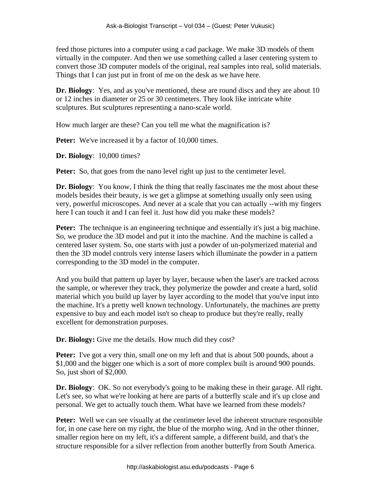feed those pictures into a computer using a cad package. We make 3D models of them virtually in the computer. And then we use something called a laser centering system to convert those 3D computer models of the original, real samples into real, solid materials. Things that I can just put in front of me on the desk as we have here.

**Dr. Biology**: Yes, and as you've mentioned, these are round discs and they are about 10 or 12 inches in diameter or 25 or 30 centimeters. They look like intricate white sculptures. But sculptures representing a nano-scale world.

How much larger are these? Can you tell me what the magnification is?

**Peter:** We've increased it by a factor of 10,000 times.

**Dr. Biology**: 10,000 times?

**Peter:** So, that goes from the nano level right up just to the centimeter level.

**Dr. Biology**: You know, I think the thing that really fascinates me the most about these models besides their beauty, is we get a glimpse at something usually only seen using very, powerful microscopes. And never at a scale that you can actually --with my fingers here I can touch it and I can feel it. Just how did you make these models?

**Peter:** The technique is an engineering technique and essentially it's just a big machine. So, we produce the 3D model and put it into the machine. And the machine is called a centered laser system. So, one starts with just a powder of un-polymerized material and then the 3D model controls very intense lasers which illuminate the powder in a pattern corresponding to the 3D model in the computer.

And you build that pattern up layer by layer, because when the laser's are tracked across the sample, or wherever they track, they polymerize the powder and create a hard, solid material which you build up layer by layer according to the model that you've input into the machine. It's a pretty well known technology. Unfortunately, the machines are pretty expensive to buy and each model isn't so cheap to produce but they're really, really excellent for demonstration purposes.

**Dr. Biology:** Give me the details. How much did they cost?

**Peter:** I've got a very thin, small one on my left and that is about 500 pounds, about a \$1,000 and the bigger one which is a sort of more complex built is around 900 pounds. So, just short of \$2,000.

**Dr. Biology**: OK. So not everybody's going to be making these in their garage. All right. Let's see, so what we're looking at here are parts of a butterfly scale and it's up close and personal. We get to actually touch them. What have we learned from these models?

**Peter:** Well we can see visually at the centimeter level the inherent structure responsible for, in one case here on my right, the blue of the morpho wing. And in the other thinner, smaller region here on my left, it's a different sample, a different build, and that's the structure responsible for a silver reflection from another butterfly from South America.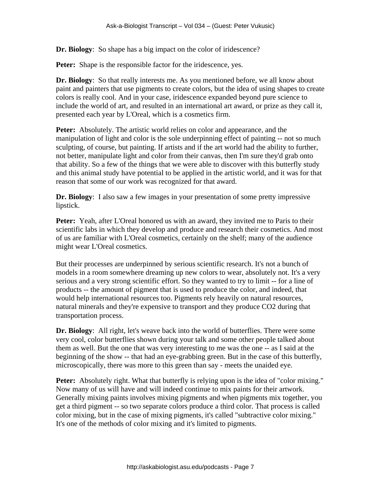**Dr. Biology**: So shape has a big impact on the color of iridescence?

**Peter:** Shape is the responsible factor for the iridescence, yes.

**Dr. Biology**: So that really interests me. As you mentioned before, we all know about paint and painters that use pigments to create colors, but the idea of using shapes to create colors is really cool. And in your case, iridescence expanded beyond pure science to include the world of art, and resulted in an international art award, or prize as they call it, presented each year by L'Oreal, which is a cosmetics firm.

**Peter:** Absolutely. The artistic world relies on color and appearance, and the manipulation of light and color is the sole underpinning effect of painting -- not so much sculpting, of course, but painting. If artists and if the art world had the ability to further, not better, manipulate light and color from their canvas, then I'm sure they'd grab onto that ability. So a few of the things that we were able to discover with this butterfly study and this animal study have potential to be applied in the artistic world, and it was for that reason that some of our work was recognized for that award.

**Dr. Biology**: I also saw a few images in your presentation of some pretty impressive lipstick.

**Peter:** Yeah, after L'Oreal honored us with an award, they invited me to Paris to their scientific labs in which they develop and produce and research their cosmetics. And most of us are familiar with L'Oreal cosmetics, certainly on the shelf; many of the audience might wear L'Oreal cosmetics.

But their processes are underpinned by serious scientific research. It's not a bunch of models in a room somewhere dreaming up new colors to wear, absolutely not. It's a very serious and a very strong scientific effort. So they wanted to try to limit -- for a line of products -- the amount of pigment that is used to produce the color, and indeed, that would help international resources too. Pigments rely heavily on natural resources, natural minerals and they're expensive to transport and they produce CO2 during that transportation process.

**Dr. Biology**: All right, let's weave back into the world of butterflies. There were some very cool, color butterflies shown during your talk and some other people talked about them as well. But the one that was very interesting to me was the one -- as I said at the beginning of the show -- that had an eye-grabbing green. But in the case of this butterfly, microscopically, there was more to this green than say - meets the unaided eye.

Peter: Absolutely right. What that butterfly is relying upon is the idea of "color mixing." Now many of us will have and will indeed continue to mix paints for their artwork. Generally mixing paints involves mixing pigments and when pigments mix together, you get a third pigment -- so two separate colors produce a third color. That process is called color mixing, but in the case of mixing pigments, it's called "subtractive color mixing." It's one of the methods of color mixing and it's limited to pigments.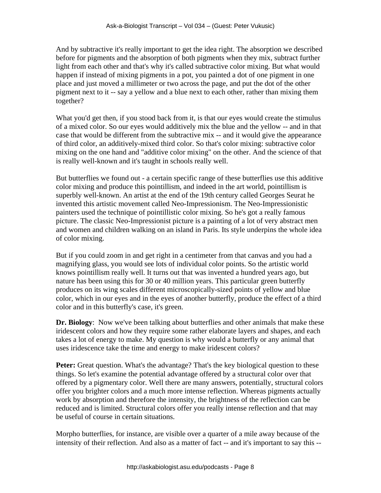And by subtractive it's really important to get the idea right. The absorption we described before for pigments and the absorption of both pigments when they mix, subtract further light from each other and that's why it's called subtractive color mixing. But what would happen if instead of mixing pigments in a pot, you painted a dot of one pigment in one place and just moved a millimeter or two across the page, and put the dot of the other pigment next to it -- say a yellow and a blue next to each other, rather than mixing them together?

What you'd get then, if you stood back from it, is that our eyes would create the stimulus of a mixed color. So our eyes would additively mix the blue and the yellow -- and in that case that would be different from the subtractive mix -- and it would give the appearance of third color, an additively-mixed third color. So that's color mixing: subtractive color mixing on the one hand and "additive color mixing" on the other. And the science of that is really well-known and it's taught in schools really well.

But butterflies we found out - a certain specific range of these butterflies use this additive color mixing and produce this pointillism, and indeed in the art world, pointillism is superbly well-known. An artist at the end of the 19th century called Georges Seurat he invented this artistic movement called Neo-Impressionism. The Neo-Impressionistic painters used the technique of pointillistic color mixing. So he's got a really famous picture. The classic Neo-Impressionist picture is a painting of a lot of very abstract men and women and children walking on an island in Paris. Its style underpins the whole idea of color mixing.

But if you could zoom in and get right in a centimeter from that canvas and you had a magnifying glass, you would see lots of individual color points. So the artistic world knows pointillism really well. It turns out that was invented a hundred years ago, but nature has been using this for 30 or 40 million years. This particular green butterfly produces on its wing scales different microscopically-sized points of yellow and blue color, which in our eyes and in the eyes of another butterfly, produce the effect of a third color and in this butterfly's case, it's green.

**Dr. Biology**: Now we've been talking about butterflies and other animals that make these iridescent colors and how they require some rather elaborate layers and shapes, and each takes a lot of energy to make. My question is why would a butterfly or any animal that uses iridescence take the time and energy to make iridescent colors?

**Peter:** Great question. What's the advantage? That's the key biological question to these things. So let's examine the potential advantage offered by a structural color over that offered by a pigmentary color. Well there are many answers, potentially, structural colors offer you brighter colors and a much more intense reflection. Whereas pigments actually work by absorption and therefore the intensity, the brightness of the reflection can be reduced and is limited. Structural colors offer you really intense reflection and that may be useful of course in certain situations.

Morpho butterflies, for instance, are visible over a quarter of a mile away because of the intensity of their reflection. And also as a matter of fact -- and it's important to say this --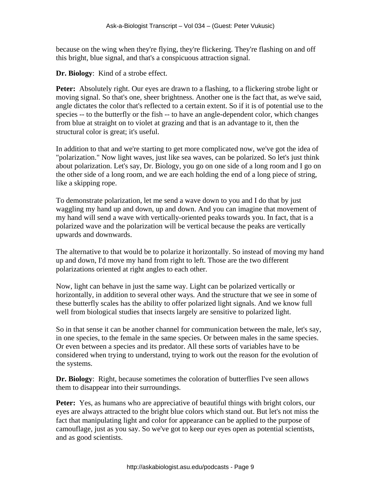because on the wing when they're flying, they're flickering. They're flashing on and off this bright, blue signal, and that's a conspicuous attraction signal.

**Dr. Biology**: Kind of a strobe effect.

**Peter:** Absolutely right. Our eyes are drawn to a flashing, to a flickering strobe light or moving signal. So that's one, sheer brightness. Another one is the fact that, as we've said, angle dictates the color that's reflected to a certain extent. So if it is of potential use to the species -- to the butterfly or the fish -- to have an angle-dependent color, which changes from blue at straight on to violet at grazing and that is an advantage to it, then the structural color is great; it's useful.

In addition to that and we're starting to get more complicated now, we've got the idea of "polarization." Now light waves, just like sea waves, can be polarized. So let's just think about polarization. Let's say, Dr. Biology, you go on one side of a long room and I go on the other side of a long room, and we are each holding the end of a long piece of string, like a skipping rope.

To demonstrate polarization, let me send a wave down to you and I do that by just waggling my hand up and down, up and down. And you can imagine that movement of my hand will send a wave with vertically-oriented peaks towards you. In fact, that is a polarized wave and the polarization will be vertical because the peaks are vertically upwards and downwards.

The alternative to that would be to polarize it horizontally. So instead of moving my hand up and down, I'd move my hand from right to left. Those are the two different polarizations oriented at right angles to each other.

Now, light can behave in just the same way. Light can be polarized vertically or horizontally, in addition to several other ways. And the structure that we see in some of these butterfly scales has the ability to offer polarized light signals. And we know full well from biological studies that insects largely are sensitive to polarized light.

So in that sense it can be another channel for communication between the male, let's say, in one species, to the female in the same species. Or between males in the same species. Or even between a species and its predator. All these sorts of variables have to be considered when trying to understand, trying to work out the reason for the evolution of the systems.

**Dr. Biology**: Right, because sometimes the coloration of butterflies I've seen allows them to disappear into their surroundings.

**Peter:** Yes, as humans who are appreciative of beautiful things with bright colors, our eyes are always attracted to the bright blue colors which stand out. But let's not miss the fact that manipulating light and color for appearance can be applied to the purpose of camouflage, just as you say. So we've got to keep our eyes open as potential scientists, and as good scientists.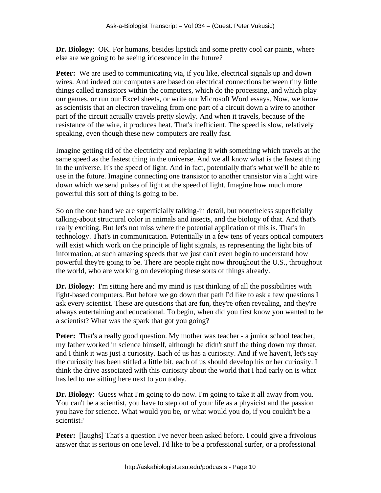**Dr. Biology**: OK. For humans, besides lipstick and some pretty cool car paints, where else are we going to be seeing iridescence in the future?

**Peter:** We are used to communicating via, if you like, electrical signals up and down wires. And indeed our computers are based on electrical connections between tiny little things called transistors within the computers, which do the processing, and which play our games, or run our Excel sheets, or write our Microsoft Word essays. Now, we know as scientists that an electron traveling from one part of a circuit down a wire to another part of the circuit actually travels pretty slowly. And when it travels, because of the resistance of the wire, it produces heat. That's inefficient. The speed is slow, relatively speaking, even though these new computers are really fast.

Imagine getting rid of the electricity and replacing it with something which travels at the same speed as the fastest thing in the universe. And we all know what is the fastest thing in the universe. It's the speed of light. And in fact, potentially that's what we'll be able to use in the future. Imagine connecting one transistor to another transistor via a light wire down which we send pulses of light at the speed of light. Imagine how much more powerful this sort of thing is going to be.

So on the one hand we are superficially talking-in detail, but nonetheless superficially talking-about structural color in animals and insects, and the biology of that. And that's really exciting. But let's not miss where the potential application of this is. That's in technology. That's in communication. Potentially in a few tens of years optical computers will exist which work on the principle of light signals, as representing the light bits of information, at such amazing speeds that we just can't even begin to understand how powerful they're going to be. There are people right now throughout the U.S., throughout the world, who are working on developing these sorts of things already.

**Dr. Biology**: I'm sitting here and my mind is just thinking of all the possibilities with light-based computers. But before we go down that path I'd like to ask a few questions I ask every scientist. These are questions that are fun, they're often revealing, and they're always entertaining and educational. To begin, when did you first know you wanted to be a scientist? What was the spark that got you going?

**Peter:** That's a really good question. My mother was teacher - a junior school teacher, my father worked in science himself, although he didn't stuff the thing down my throat, and I think it was just a curiosity. Each of us has a curiosity. And if we haven't, let's say the curiosity has been stifled a little bit, each of us should develop his or her curiosity. I think the drive associated with this curiosity about the world that I had early on is what has led to me sitting here next to you today.

**Dr. Biology**: Guess what I'm going to do now. I'm going to take it all away from you. You can't be a scientist, you have to step out of your life as a physicist and the passion you have for science. What would you be, or what would you do, if you couldn't be a scientist?

**Peter:** [laughs] That's a question I've never been asked before. I could give a frivolous answer that is serious on one level. I'd like to be a professional surfer, or a professional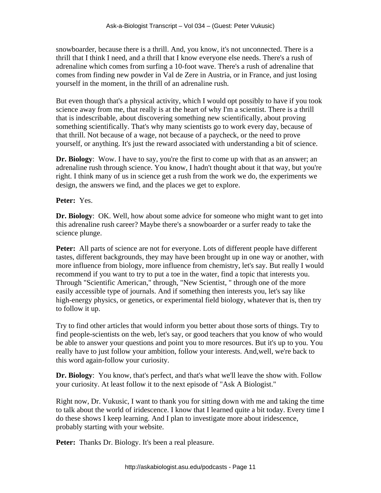snowboarder, because there is a thrill. And, you know, it's not unconnected. There is a thrill that I think I need, and a thrill that I know everyone else needs. There's a rush of adrenaline which comes from surfing a 10-foot wave. There's a rush of adrenaline that comes from finding new powder in Val de Zere in Austria, or in France, and just losing yourself in the moment, in the thrill of an adrenaline rush.

But even though that's a physical activity, which I would opt possibly to have if you took science away from me, that really is at the heart of why I'm a scientist. There is a thrill that is indescribable, about discovering something new scientifically, about proving something scientifically. That's why many scientists go to work every day, because of that thrill. Not because of a wage, not because of a paycheck, or the need to prove yourself, or anything. It's just the reward associated with understanding a bit of science.

**Dr. Biology**: Wow. I have to say, you're the first to come up with that as an answer; an adrenaline rush through science. You know, I hadn't thought about it that way, but you're right. I think many of us in science get a rush from the work we do, the experiments we design, the answers we find, and the places we get to explore.

**Peter:** Yes.

**Dr. Biology**: OK. Well, how about some advice for someone who might want to get into this adrenaline rush career? Maybe there's a snowboarder or a surfer ready to take the science plunge.

**Peter:** All parts of science are not for everyone. Lots of different people have different tastes, different backgrounds, they may have been brought up in one way or another, with more influence from biology, more influence from chemistry, let's say. But really I would recommend if you want to try to put a toe in the water, find a topic that interests you. Through "Scientific American," through, "New Scientist, " through one of the more easily accessible type of journals. And if something then interests you, let's say like high-energy physics, or genetics, or experimental field biology, whatever that is, then try to follow it up.

Try to find other articles that would inform you better about those sorts of things. Try to find people-scientists on the web, let's say, or good teachers that you know of who would be able to answer your questions and point you to more resources. But it's up to you. You really have to just follow your ambition, follow your interests. And,well, we're back to this word again-follow your curiosity.

**Dr. Biology**: You know, that's perfect, and that's what we'll leave the show with. Follow your curiosity. At least follow it to the next episode of "Ask A Biologist."

Right now, Dr. Vukusic, I want to thank you for sitting down with me and taking the time to talk about the world of iridescence. I know that I learned quite a bit today. Every time I do these shows I keep learning. And I plan to investigate more about iridescence, probably starting with your website.

Peter: Thanks Dr. Biology. It's been a real pleasure.